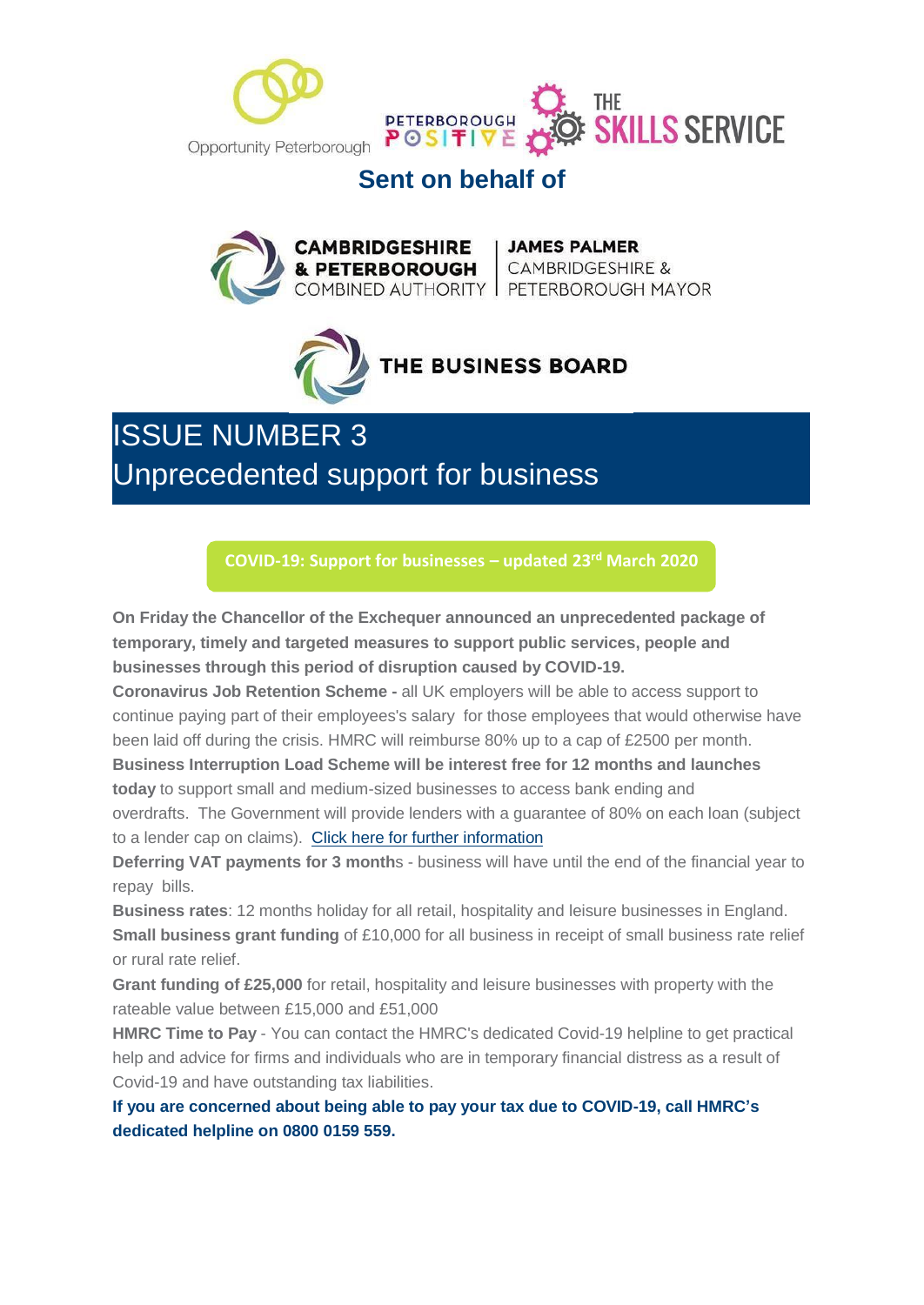



### **Sent on behalf of**

**CAMBRIDGESHIRE | JAMES PALMER<br>& PETERBOROUGH |** CAMBRIDGESHIRE &<br>COMBINED AUTHORITY | PETERBOROUGH MAYOR



ISSUE NUMBER 3 Unprecedented support for business

**COVID-19: Support for [businesses](https://hes32-ctp.trendmicro.com/wis/clicktime/v1/query?url=https%3a%2f%2fmills.cmail20.com%2ft%2fd%2dl%2dmjiykz%2djkuyiitjn%2dr%2f&umid=07b3982b-81e8-4529-b62a-5a2d548cf59c&auth=032509ba71aa4d03d13cdc6bff503ed53ba3f200-39179536af072fadb3d206b2009d19292dd9bf7d) – updated 23 rd March 2020**

**On Friday the Chancellor of the Exchequer announced an unprecedented package of temporary, timely and targeted measures to support public services, people and businesses through this period of disruption caused by COVID-19.**

**Coronavirus Job Retention Scheme -** all UK employers will be able to access support to continue paying part of their employees's salary for those employees that would otherwise have been laid off during the crisis. HMRC will reimburse 80% up to a cap of £2500 per month.

**Business Interruption Load Scheme will be interest free for 12 months and launches today** to support small and medium-sized businesses to access bank ending and overdrafts. The Government will provide lenders with a guarantee of 80% on each loan (subject to a lender cap on claims). Click here for further [information](https://hes32-ctp.trendmicro.com/wis/clicktime/v1/query?url=https%3a%2f%2fmills.cmail20.com%2ft%2fd%2dl%2dmjiykz%2djkuyiitjn%2dy%2f&umid=07b3982b-81e8-4529-b62a-5a2d548cf59c&auth=032509ba71aa4d03d13cdc6bff503ed53ba3f200-9ecfb2b53dbdbdeaf3d47ba637dad096b48e0254)

**Deferring VAT payments for 3 month**s - business will have until the end of the financial year to repay bills.

**Business rates**: 12 months holiday for all retail, hospitality and leisure businesses in England. **Small business grant funding** of £10,000 for all business in receipt of small business rate relief or rural rate relief.

**Grant funding of £25,000** for retail, hospitality and leisure businesses with property with the rateable value between £15,000 and £51,000

**HMRC Time to Pay** - You can contact the HMRC's dedicated Covid-19 helpline to get practical help and advice for firms and individuals who are in temporary financial distress as a result of Covid-19 and have outstanding tax liabilities.

**If you are concerned about being able to pay your tax due to COVID-19, call HMRC's dedicated helpline on 0800 0159 559.**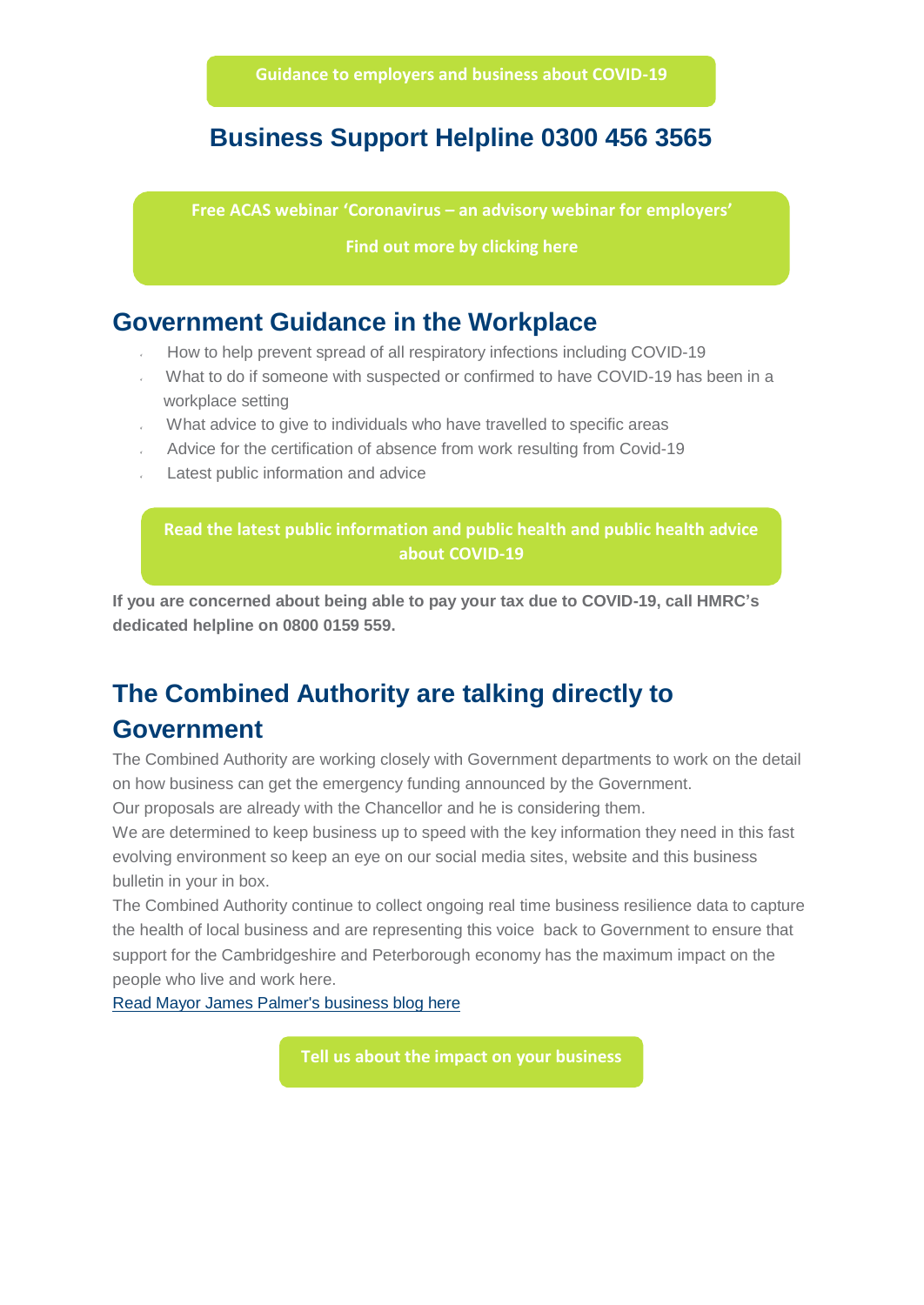#### **Business Support Helpline 0300 456 3565**

**Free ACAS webinar 'C[oronavirus](https://hes32-ctp.trendmicro.com/wis/clicktime/v1/query?url=https%3a%2f%2fmills.cmail20.com%2ft%2fd%2dl%2dmjiykz%2djkuyiitjn%2dt%2f&umid=07b3982b-81e8-4529-b62a-5a2d548cf59c&auth=032509ba71aa4d03d13cdc6bff503ed53ba3f200-bcdbd7bcba105df0c53c5dded3ca383e02f51439) – an advisory webinar for employers'**

**Find out more [by clicking here](https://hes32-ctp.trendmicro.com/wis/clicktime/v1/query?url=https%3a%2f%2fmills.cmail20.com%2ft%2fd%2dl%2dmjiykz%2djkuyiitjn%2dt%2f&umid=07b3982b-81e8-4529-b62a-5a2d548cf59c&auth=032509ba71aa4d03d13cdc6bff503ed53ba3f200-bcdbd7bcba105df0c53c5dded3ca383e02f51439)**

#### **Government Guidance in the Workplace**

- How to help prevent spread of all respiratory infections including COVID-19
- What to do if someone with suspected or confirmed to have COVID-19 has been in a workplace setting
- What advice to give to individuals who have travelled to specific areas
- Advice for the certification of absence from work resulting from Covid-19
- Latest public information and advice

**Read the latest public [information](https://www.gov.uk/guidance/coronavirus-covid-19-information-for-the-public?utm_campaign=Covid-19%20Business%20Resilience&utm_source=hs_email&utm_medium=email&utm_content=85105210&_hsenc=p2ANqtz--rmtlc7lIE1Cba1_t58FNApCnHyXz-EF4njUApufH-CxS_AGbLcgRFzYLg_jNvB8ByZPAn1d3hgxjHfyTB2VUGVqdvhQW5ha81Jt2uEic2G6KrYQizYGqyrVSPQjPhqaEUhcoV&_hsmi=85105211) and public health and public health advice about COVID-19**

**If you are concerned about being able to pay your tax due to COVID-19, call HMRC's dedicated helpline on 0800 0159 559.**

## **The Combined Authority are talking directly to Government**

The Combined Authority are working closely with Government departments to work on the detail on how business can get the emergency funding announced by the Government.

Our proposals are already with the Chancellor and he is considering them.

We are determined to keep business up to speed with the key information they need in this fast evolving environment so keep an eye on our social media sites, website and this business bulletin in your in box.

The Combined Authority continue to collect ongoing real time business resilience data to capture the health of local business and are representing this voice back to Government to ensure that support for the Cambridgeshire and Peterborough economy has the maximum impact on the people who live and work here.

Read Mayor James [Palmer's business](https://hes32-ctp.trendmicro.com/wis/clicktime/v1/query?url=https%3a%2f%2fmills.cmail20.com%2ft%2fd%2dl%2dmjiykz%2djkuyiitjn%2dd%2f&umid=07b3982b-81e8-4529-b62a-5a2d548cf59c&auth=032509ba71aa4d03d13cdc6bff503ed53ba3f200-108b3c990d22d55efb4ed2137dcc5449d48ecdbd) blog here

**Tell us about the [impact on](https://hes32-ctp.trendmicro.com/wis/clicktime/v1/query?url=https%3a%2f%2fmills.cmail20.com%2ft%2fd%2dl%2dmjiykz%2djkuyiitjn%2dh%2f&umid=07b3982b-81e8-4529-b62a-5a2d548cf59c&auth=032509ba71aa4d03d13cdc6bff503ed53ba3f200-f5f3e06d29e1bb3ec1f7117470acb82cfa6ccca3) your business**